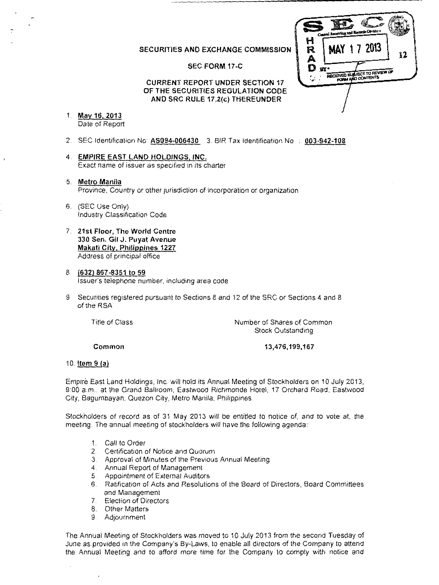## **SECURITIES AND EXCHANGE COMMISSION**

## **SEC FORM 17-C**



**CURRENT REPORT UNDER SECTION 17 OF THE SECURITIES REGULATION CODE AND SRC RULE 17.2(c) THEREUNDER** 

- 1. **May 16, 2013**  Date of Report
- 2 SEC Identification No **AS094-006430** 3. BIR Tax Identification No **003-942-108**
- 4 **EMPIRE EAST LAND HOLDINGS, INC.**  Exact name of issuer as specified in its charter
- 5. **Metro Manila**  Province, Country or other jurisdiction of incorporation or organization
- 6. (SEC Use Only) Industry Classification Code
- 7. **21st Floor, The World Centre 330 Sen. Gil J. Puyat Avenue Makati City, Philippines 1227**  Address of principal office
- 8. **(632) 867-8351 to 59**  Issuer's telephone number, including area code
- 9. Securities registered pursuant to Sections 8 and 12 of the SRC or Sections 4 and 8 of the RSA

Title of Class

Number of Shares of Common Stock Outstanding

**Common** 

**13,476,199,167** 

### **10.1tem 9 (a)**

Empire East Land Holdings, Inc. will hold its Annual Meeting of Stockholders on 10 July 2013, 9:00a.m., at the Grand Ballroom, Eastwood Richmonde Hotel, 17 Orchard Road, Eastwood City, Bagumbayan, Quezon City, Metro Manila, Philippines.

Stockholders of record as of 31 May 2013 will be entitled to notice of, and to vote at, the meeting. The annual meeting of stockholders will have the following agenda:

- 1. Call to Order
- 2. Certification of Notice and Quorum
- 3. Approval of Minutes of the Previous Annual Meeting
- 4. Annual Report of Management
- 5. Appointment of External Auditors<br>6. Ratification of Acts and Resolutio
- 6. Ratification of Acts and Resolutions of the Board of Directors, Board Committees and Management
- 7. Election of Directors
- 8. Other Matters
- 9. Adjournment

The Annual Meeting of Stockholders was moved to 10 July 2013 from the second Tuesday of June as provided in the Company's By-Laws, to enable all directors of the Company to attend the Annual Meeting and to afford more time for the Company to comply with notice and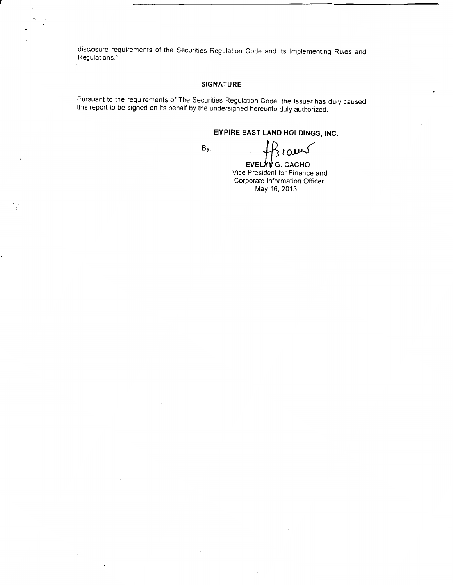disclosure requirements of the Securities Regulation Code and its Implementing Rules and Regulations."

ý. ₹.

## **SIGNATURE**

Pursuant to the requirements of The Securities Regulation Code, the Issuer has duly caused this report to be signed on its behalf by the undersigned hereunto duly authorized.

# **EMPIRE EAST LAND HOLDINGS, INC.**

By:

EVELYING CACHO

Vice President for Finance and Corporate Information Officer May 16, 2013